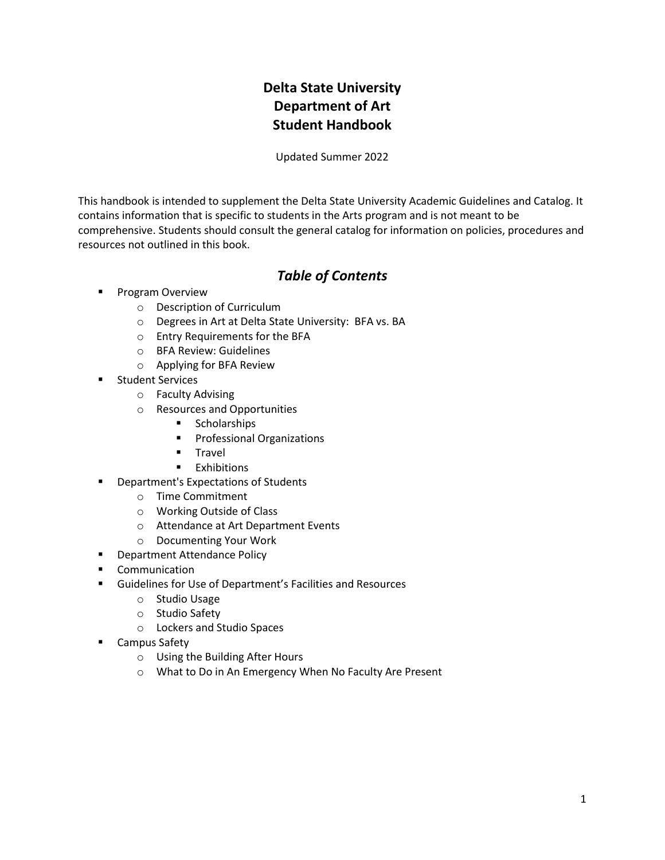## **Delta State University Department of Art Student Handbook**

Updated Summer 2022

This handbook is intended to supplement the Delta State University Academic Guidelines and Catalog. It contains information that is specific to students in the Arts program and is not meant to be comprehensive. Students should consult the general catalog for information on policies, procedures and resources not outlined in this book.

## *Table of Contents*

- **Program Overview** 
	- o Description of Curriculum
	- o Degrees in Art at Delta State University: BFA vs. BA
	- o Entry Requirements for the BFA
	- o BFA Review: Guidelines
	- o Applying for BFA Review
- Student Services
	- o Faculty Advising
	- o Resources and Opportunities
		- Scholarships
		- Professional Organizations
		- Travel
		- Exhibitions
- **Department's Expectations of Students** 
	- o Time Commitment
	- o Working Outside of Class
	- o Attendance at Art Department Events
	- o Documenting Your Work
- **■** Department Attendance Policy
- Communication
- Guidelines for Use of Department's Facilities and Resources
	- o Studio Usage
	- o Studio Safety
	- o Lockers and Studio Spaces
- Campus Safety
	- o Using the Building After Hours
	- o What to Do in An Emergency When No Faculty Are Present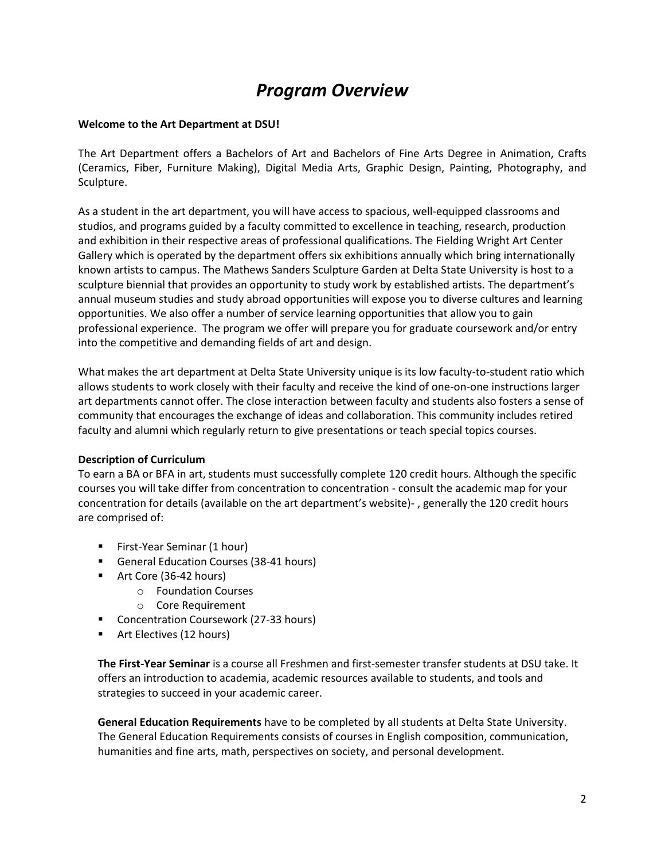# *Program Overview*

### **Welcome to the Art Department at DSU!**

The Art Department offers a Bachelors of Art and Bachelors of Fine Arts Degree in Animation, Crafts (Ceramics, Fiber, Furniture Making), Digital Media Arts, Graphic Design, Painting, Photography, and Sculpture.

As a student in the art department, you will have access to spacious, well-equipped classrooms and studios, and programs guided by a faculty committed to excellence in teaching, research, production and exhibition in their respective areas of professional qualifications. The Fielding Wright Art Center Gallery which is operated by the department offers six exhibitions annually which bring internationally known artists to campus. The Mathews Sanders Sculpture Garden at Delta State University is host to a sculpture biennial that provides an opportunity to study work by established artists. The department's annual museum studies and study abroad opportunities will expose you to diverse cultures and learning opportunities. We also offer a number of service learning opportunities that allow you to gain professional experience. The program we offer will prepare you for graduate coursework and/or entry into the competitive and demanding fields of art and design.

What makes the art department at Delta State University unique is its low faculty-to-student ratio which allows students to work closely with their faculty and receive the kind of one-on-one instructions larger art departments cannot offer. The close interaction between faculty and students also fosters a sense of community that encourages the exchange of ideas and collaboration. This community includes retired faculty and alumni which regularly return to give presentations or teach special topics courses.

### **Description of Curriculum**

To earn a BA or BFA in art, students must successfully complete 120 credit hours. Although the specific courses you will take differ from concentration to concentration - consult the academic map for your concentration for details (available on the art department's website)- , generally the 120 credit hours are comprised of:

- First-Year Seminar (1 hour)
- General Education Courses (38-41 hours)
- Art Core (36-42 hours)
	- o Foundation Courses
	- o Core Requirement
- Concentration Coursework (27-33 hours)
- Art Electives (12 hours)

**The First-Year Seminar** is a course all Freshmen and first-semester transfer students at DSU take. It offers an introduction to academia, academic resources available to students, and tools and strategies to succeed in your academic career.

**General Education Requirements** have to be completed by all students at Delta State University. The General Education Requirements consists of courses in English composition, communication, humanities and fine arts, math, perspectives on society, and personal development.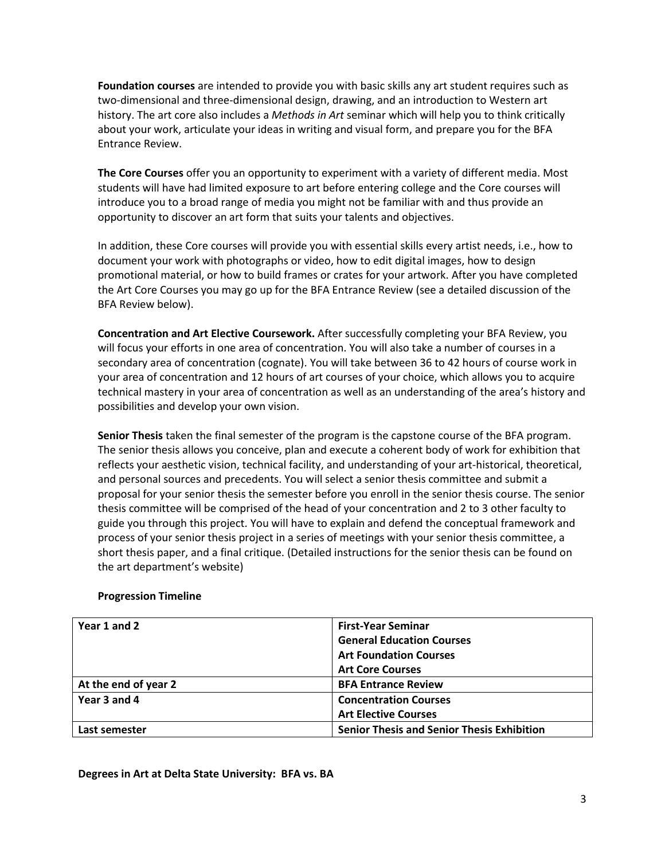**Foundation courses** are intended to provide you with basic skills any art student requires such as two-dimensional and three-dimensional design, drawing, and an introduction to Western art history. The art core also includes a *Methods in Art* seminar which will help you to think critically about your work, articulate your ideas in writing and visual form, and prepare you for the BFA Entrance Review.

**The Core Courses** offer you an opportunity to experiment with a variety of different media. Most students will have had limited exposure to art before entering college and the Core courses will introduce you to a broad range of media you might not be familiar with and thus provide an opportunity to discover an art form that suits your talents and objectives.

In addition, these Core courses will provide you with essential skills every artist needs, i.e., how to document your work with photographs or video, how to edit digital images, how to design promotional material, or how to build frames or crates for your artwork. After you have completed the Art Core Courses you may go up for the BFA Entrance Review (see a detailed discussion of the BFA Review below).

**Concentration and Art Elective Coursework.** After successfully completing your BFA Review, you will focus your efforts in one area of concentration. You will also take a number of courses in a secondary area of concentration (cognate). You will take between 36 to 42 hours of course work in your area of concentration and 12 hours of art courses of your choice, which allows you to acquire technical mastery in your area of concentration as well as an understanding of the area's history and possibilities and develop your own vision.

**Senior Thesis** taken the final semester of the program is the capstone course of the BFA program. The senior thesis allows you conceive, plan and execute a coherent body of work for exhibition that reflects your aesthetic vision, technical facility, and understanding of your art-historical, theoretical, and personal sources and precedents. You will select a senior thesis committee and submit a proposal for your senior thesis the semester before you enroll in the senior thesis course. The senior thesis committee will be comprised of the head of your concentration and 2 to 3 other faculty to guide you through this project. You will have to explain and defend the conceptual framework and process of your senior thesis project in a series of meetings with your senior thesis committee, a short thesis paper, and a final critique. (Detailed instructions for the senior thesis can be found on the art department's website)

| Year 1 and 2         | <b>First-Year Seminar</b>                         |
|----------------------|---------------------------------------------------|
|                      | <b>General Education Courses</b>                  |
|                      | <b>Art Foundation Courses</b>                     |
|                      | <b>Art Core Courses</b>                           |
| At the end of year 2 | <b>BFA Entrance Review</b>                        |
| Year 3 and 4         | <b>Concentration Courses</b>                      |
|                      | <b>Art Elective Courses</b>                       |
| Last semester        | <b>Senior Thesis and Senior Thesis Exhibition</b> |

## **Progression Timeline**

#### **Degrees in Art at Delta State University: BFA vs. BA**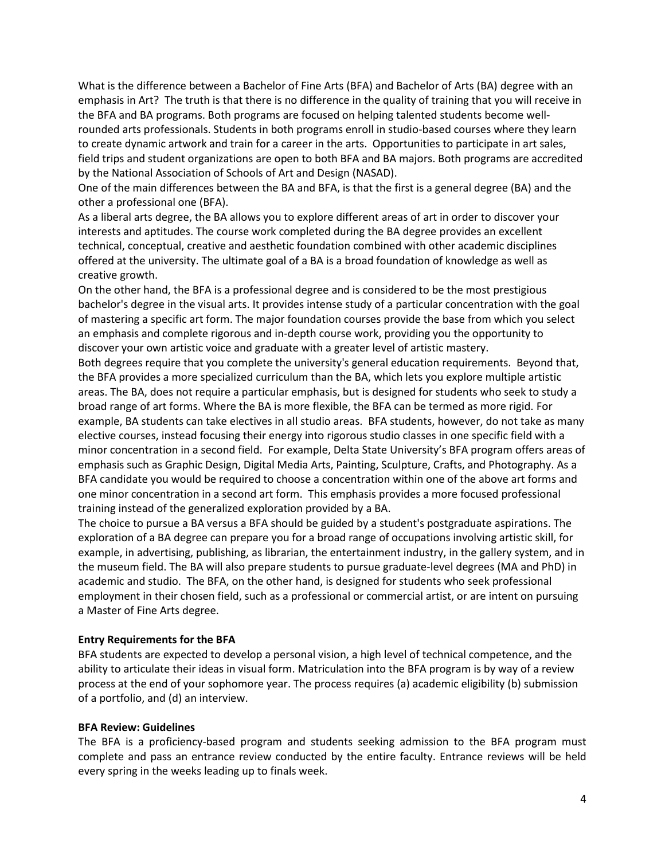What is the difference between a Bachelor of Fine Arts (BFA) and Bachelor of Arts (BA) degree with an emphasis in Art? The truth is that there is no difference in the quality of training that you will receive in the BFA and BA programs. Both programs are focused on helping talented students become wellrounded arts professionals. Students in both programs enroll in studio-based courses where they learn to create dynamic artwork and train for a career in the arts. Opportunities to participate in art sales, field trips and student organizations are open to both BFA and BA majors. Both programs are accredited by the National Association of Schools of Art and Design (NASAD).

One of the main differences between the BA and BFA, is that the first is a general degree (BA) and the other a professional one (BFA).

As a liberal arts degree, the BA allows you to explore different areas of art in order to discover your interests and aptitudes. The course work completed during the BA degree provides an excellent technical, conceptual, creative and aesthetic foundation combined with other academic disciplines offered at the university. The ultimate goal of a BA is a broad foundation of knowledge as well as creative growth.

On the other hand, the BFA is a professional degree and is considered to be the most prestigious bachelor's degree in the visual arts. It provides intense study of a particular concentration with the goal of mastering a specific art form. The major foundation courses provide the base from which you select an emphasis and complete rigorous and in-depth course work, providing you the opportunity to discover your own artistic voice and graduate with a greater level of artistic mastery.

Both degrees require that you complete the university's general education requirements. Beyond that, the BFA provides a more specialized curriculum than the BA, which lets you explore multiple artistic areas. The BA, does not require a particular emphasis, but is designed for students who seek to study a broad range of art forms. Where the BA is more flexible, the BFA can be termed as more rigid. For example, BA students can take electives in all studio areas. BFA students, however, do not take as many elective courses, instead focusing their energy into rigorous studio classes in one specific field with a minor concentration in a second field. For example, Delta State University's BFA program offers areas of emphasis such as Graphic Design, Digital Media Arts, Painting, Sculpture, Crafts, and Photography. As a BFA candidate you would be required to choose a concentration within one of the above art forms and one minor concentration in a second art form. This emphasis provides a more focused professional training instead of the generalized exploration provided by a BA.

The choice to pursue a BA versus a BFA should be guided by a student's postgraduate aspirations. The exploration of a BA degree can prepare you for a broad range of occupations involving artistic skill, for example, in advertising, publishing, as librarian, the entertainment industry, in the gallery system, and in the museum field. The BA will also prepare students to pursue graduate-level degrees (MA and PhD) in academic and studio. The BFA, on the other hand, is designed for students who seek professional employment in their chosen field, such as a professional or commercial artist, or are intent on pursuing a Master of Fine Arts degree.

#### **Entry Requirements for the BFA**

BFA students are expected to develop a personal vision, a high level of technical competence, and the ability to articulate their ideas in visual form. Matriculation into the BFA program is by way of a review process at the end of your sophomore year. The process requires (a) academic eligibility (b) submission of a portfolio, and (d) an interview.

#### **BFA Review: Guidelines**

The BFA is a proficiency-based program and students seeking admission to the BFA program must complete and pass an entrance review conducted by the entire faculty. Entrance reviews will be held every spring in the weeks leading up to finals week.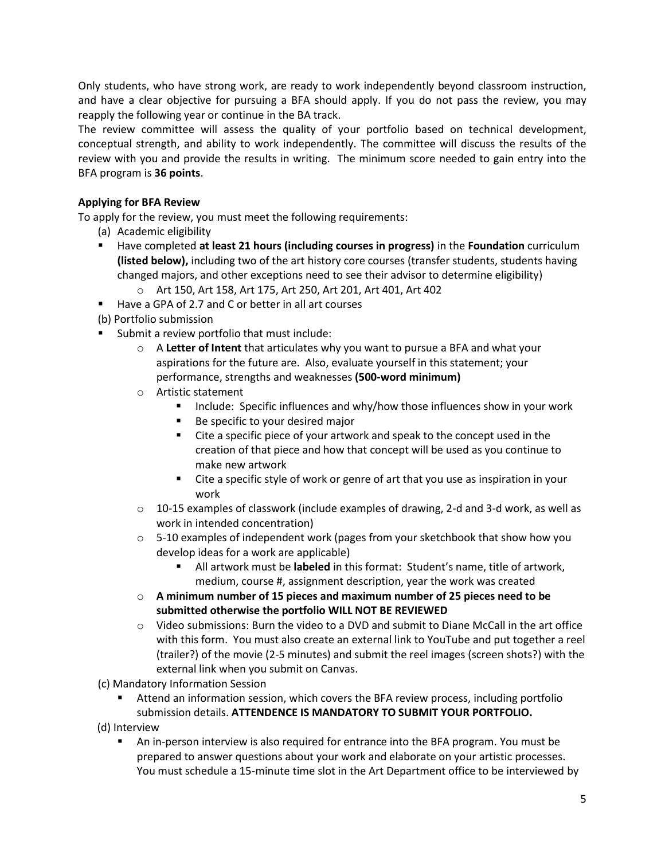Only students, who have strong work, are ready to work independently beyond classroom instruction, and have a clear objective for pursuing a BFA should apply. If you do not pass the review, you may reapply the following year or continue in the BA track.

The review committee will assess the quality of your portfolio based on technical development, conceptual strength, and ability to work independently. The committee will discuss the results of the review with you and provide the results in writing. The minimum score needed to gain entry into the BFA program is **36 points**.

## **Applying for BFA Review**

To apply for the review, you must meet the following requirements:

- (a) Academic eligibility
- Have completed **at least 21 hours (including courses in progress)** in the **Foundation** curriculum **(listed below),** including two of the art history core courses (transfer students, students having changed majors, and other exceptions need to see their advisor to determine eligibility)
	- o Art 150, Art 158, Art 175, Art 250, Art 201, Art 401, Art 402
- Have a GPA of 2.7 and C or better in all art courses
- (b) Portfolio submission
- Submit a review portfolio that must include:
	- o A **Letter of Intent** that articulates why you want to pursue a BFA and what your aspirations for the future are. Also, evaluate yourself in this statement; your performance, strengths and weaknesses **(500-word minimum)**
	- o Artistic statement
		- Include: Specific influences and why/how those influences show in your work
		- Be specific to your desired major
		- Cite a specific piece of your artwork and speak to the concept used in the creation of that piece and how that concept will be used as you continue to make new artwork
		- Cite a specific style of work or genre of art that you use as inspiration in your work
	- $\circ$  10-15 examples of classwork (include examples of drawing, 2-d and 3-d work, as well as work in intended concentration)
	- $\circ$  5-10 examples of independent work (pages from your sketchbook that show how you develop ideas for a work are applicable)
		- All artwork must be **labeled** in this format: Student's name, title of artwork, medium, course #, assignment description, year the work was created
	- o **A minimum number of 15 pieces and maximum number of 25 pieces need to be submitted otherwise the portfolio WILL NOT BE REVIEWED**
	- $\circ$  Video submissions: Burn the video to a DVD and submit to Diane McCall in the art office with this form. You must also create an external link to YouTube and put together a reel (trailer?) of the movie (2-5 minutes) and submit the reel images (screen shots?) with the external link when you submit on Canvas.
- (c) Mandatory Information Session
	- **E** Attend an information session, which covers the BFA review process, including portfolio submission details. **ATTENDENCE IS MANDATORY TO SUBMIT YOUR PORTFOLIO.**
- (d) Interview
	- An in-person interview is also required for entrance into the BFA program. You must be prepared to answer questions about your work and elaborate on your artistic processes. You must schedule a 15-minute time slot in the Art Department office to be interviewed by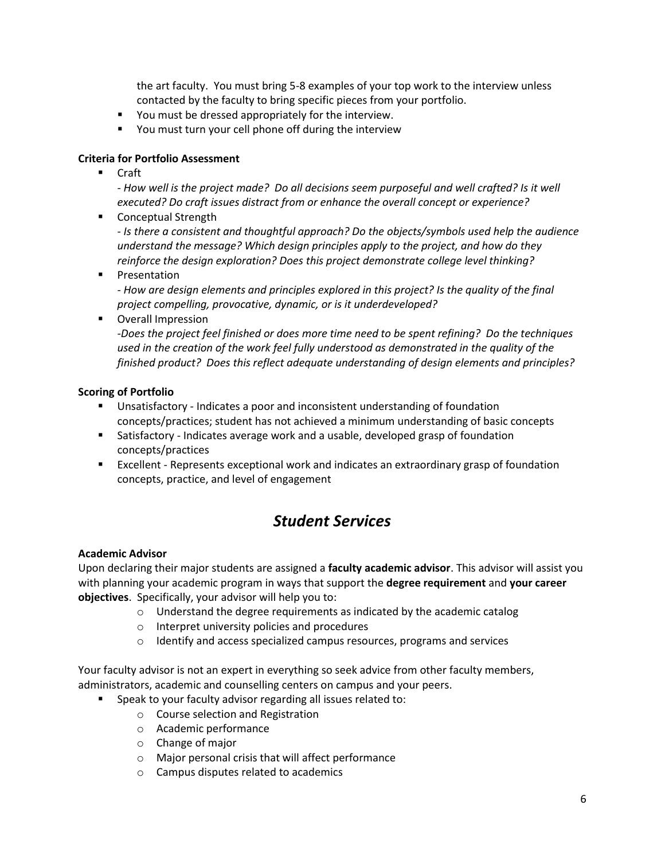the art faculty. You must bring 5-8 examples of your top work to the interview unless contacted by the faculty to bring specific pieces from your portfolio.

- You must be dressed appropriately for the interview.
- You must turn your cell phone off during the interview

## **Criteria for Portfolio Assessment**

**Craft** 

- *How well is the project made? Do all decisions seem purposeful and well crafted? Is it well executed? Do craft issues distract from or enhance the overall concept or experience?* 

■ Conceptual Strength

- *Is there a consistent and thoughtful approach? Do the objects/symbols used help the audience understand the message? Which design principles apply to the project, and how do they reinforce the design exploration? Does this project demonstrate college level thinking?*

▪ Presentation

- *How are design elements and principles explored in this project? Is the quality of the final project compelling, provocative, dynamic, or is it underdeveloped?* 

■ Overall Impression

*-Does the project feel finished or does more time need to be spent refining? Do the techniques used in the creation of the work feel fully understood as demonstrated in the quality of the finished product? Does this reflect adequate understanding of design elements and principles?*

## **Scoring of Portfolio**

- Unsatisfactory Indicates a poor and inconsistent understanding of foundation concepts/practices; student has not achieved a minimum understanding of basic concepts
- Satisfactory Indicates average work and a usable, developed grasp of foundation concepts/practices
- Excellent Represents exceptional work and indicates an extraordinary grasp of foundation concepts, practice, and level of engagement

## *Student Services*

### **Academic Advisor**

Upon declaring their major students are assigned a **faculty academic advisor**. This advisor will assist you with planning your academic program in ways that support the **degree requirement** and **your career objectives**. Specifically, your advisor will help you to:

- o Understand the degree requirements as indicated by the academic catalog
- o Interpret university policies and procedures
- o Identify and access specialized campus resources, programs and services

Your faculty advisor is not an expert in everything so seek advice from other faculty members, administrators, academic and counselling centers on campus and your peers.

- Speak to your faculty advisor regarding all issues related to:
	- o Course selection and Registration
	- o Academic performance
	- o Change of major
	- o Major personal crisis that will affect performance
	- o Campus disputes related to academics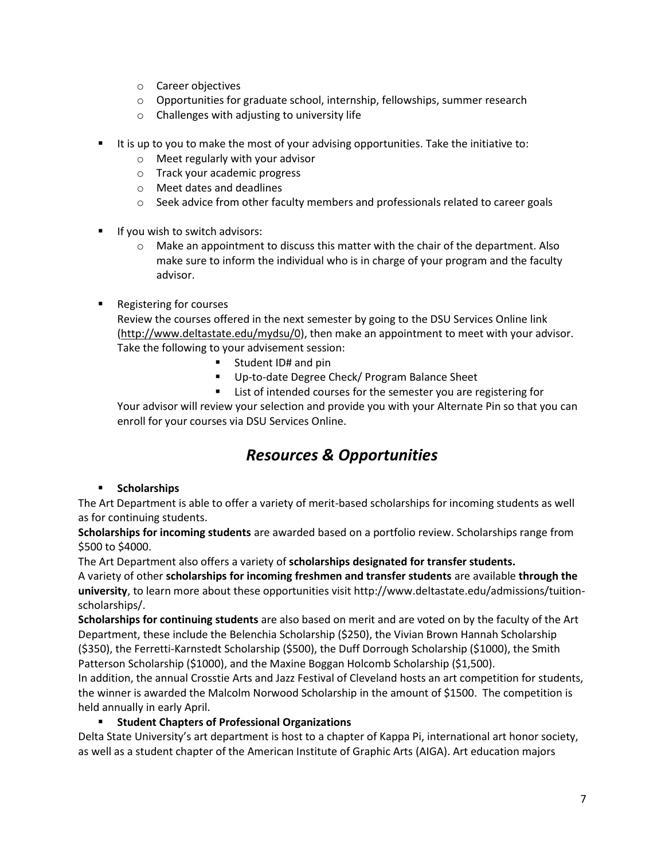- o Career objectives
- o Opportunities for graduate school, internship, fellowships, summer research
- o Challenges with adjusting to university life
- It is up to you to make the most of your advising opportunities. Take the initiative to:
	- o Meet regularly with your advisor
	- o Track your academic progress
	- o Meet dates and deadlines
	- $\circ$  Seek advice from other faculty members and professionals related to career goals
- If you wish to switch advisors:
	- $\circ$  Make an appointment to discuss this matter with the chair of the department. Also make sure to inform the individual who is in charge of your program and the faculty advisor.
- **Registering for courses** Review the courses offered in the next semester by going to the DSU Services Online link [\(http://www.deltastate.edu/mydsu/0\)](http://www.deltastate.edu/mydsu/0), then make an appointment to meet with your advisor. Take the following to your advisement session:
	- Student ID# and pin
	- Up-to-date Degree Check/ Program Balance Sheet
	- List of intended courses for the semester you are registering for

Your advisor will review your selection and provide you with your Alternate Pin so that you can enroll for your courses via DSU Services Online.

## *Resources & Opportunities*

### ▪ **Scholarships**

The Art Department is able to offer a variety of merit-based scholarships for incoming students as well as for continuing students.

**Scholarships for incoming students** are awarded based on a portfolio review. Scholarships range from \$500 to \$4000.

The Art Department also offers a variety of **scholarships designated for transfer students.**

A variety of other **scholarships for incoming freshmen and transfer students** are available **through the university**, to learn more about these opportunities visit http://www.deltastate.edu/admissions/tuitionscholarships/.

**Scholarships for continuing students** are also based on merit and are voted on by the faculty of the Art Department, these include the Belenchia Scholarship (\$250), the Vivian Brown Hannah Scholarship (\$350), the Ferretti-Karnstedt Scholarship (\$500), the Duff Dorrough Scholarship (\$1000), the Smith Patterson Scholarship (\$1000), and the Maxine Boggan Holcomb Scholarship (\$1,500).

In addition, the annual Crosstie Arts and Jazz Festival of Cleveland hosts an art competition for students, the winner is awarded the Malcolm Norwood Scholarship in the amount of \$1500. The competition is held annually in early April.

## ▪ **Student Chapters of Professional Organizations**

Delta State University's art department is host to a chapter of Kappa Pi, international art honor society, as well as a student chapter of the American Institute of Graphic Arts (AIGA). Art education majors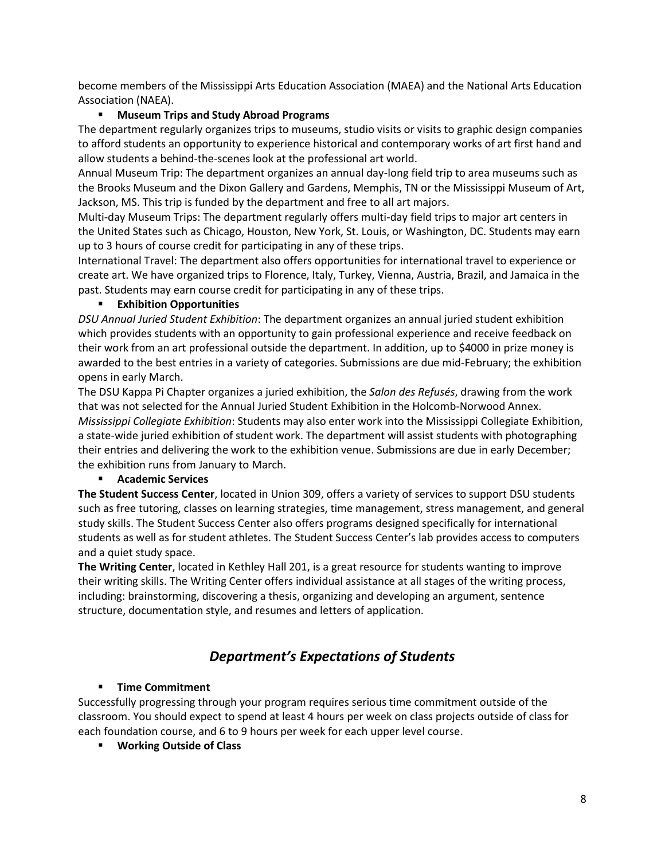become members of the Mississippi Arts Education Association (MAEA) and the National Arts Education Association (NAEA).

## **Museum Trips and Study Abroad Programs**

The department regularly organizes trips to museums, studio visits or visits to graphic design companies to afford students an opportunity to experience historical and contemporary works of art first hand and allow students a behind-the-scenes look at the professional art world.

Annual Museum Trip: The department organizes an annual day-long field trip to area museums such as the Brooks Museum and the Dixon Gallery and Gardens, Memphis, TN or the Mississippi Museum of Art, Jackson, MS. This trip is funded by the department and free to all art majors.

Multi-day Museum Trips: The department regularly offers multi-day field trips to major art centers in the United States such as Chicago, Houston, New York, St. Louis, or Washington, DC. Students may earn up to 3 hours of course credit for participating in any of these trips.

International Travel: The department also offers opportunities for international travel to experience or create art. We have organized trips to Florence, Italy, Turkey, Vienna, Austria, Brazil, and Jamaica in the past. Students may earn course credit for participating in any of these trips.

### ▪ **Exhibition Opportunities**

*DSU Annual Juried Student Exhibition*: The department organizes an annual juried student exhibition which provides students with an opportunity to gain professional experience and receive feedback on their work from an art professional outside the department. In addition, up to \$4000 in prize money is awarded to the best entries in a variety of categories. Submissions are due mid-February; the exhibition opens in early March.

The DSU Kappa Pi Chapter organizes a juried exhibition, the *Salon des Refusés*, drawing from the work that was not selected for the Annual Juried Student Exhibition in the Holcomb-Norwood Annex. *Mississippi Collegiate Exhibition*: Students may also enter work into the Mississippi Collegiate Exhibition, a state-wide juried exhibition of student work. The department will assist students with photographing their entries and delivering the work to the exhibition venue. Submissions are due in early December; the exhibition runs from January to March.

### ▪ **Academic Services**

**The Student Success Center**, located in Union 309, offers a variety of services to support DSU students such as free tutoring, classes on learning strategies, time management, stress management, and general study skills. The Student Success Center also offers programs designed specifically for international students as well as for student athletes. The Student Success Center's lab provides access to computers and a quiet study space.

**The Writing Center**, located in Kethley Hall 201, is a great resource for students wanting to improve their writing skills. The Writing Center offers individual assistance at all stages of the writing process, including: brainstorming, discovering a thesis, organizing and developing an argument, sentence structure, documentation style, and resumes and letters of application.

## *Department's Expectations of Students*

### ▪ **Time Commitment**

Successfully progressing through your program requires serious time commitment outside of the classroom. You should expect to spend at least 4 hours per week on class projects outside of class for each foundation course, and 6 to 9 hours per week for each upper level course.

▪ **Working Outside of Class**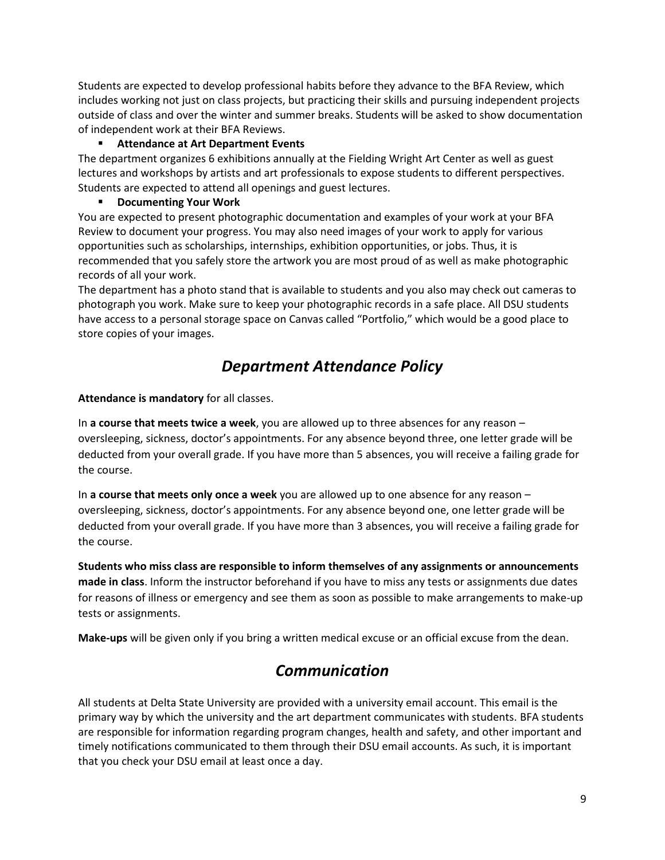Students are expected to develop professional habits before they advance to the BFA Review, which includes working not just on class projects, but practicing their skills and pursuing independent projects outside of class and over the winter and summer breaks. Students will be asked to show documentation of independent work at their BFA Reviews.

## ▪ **Attendance at Art Department Events**

The department organizes 6 exhibitions annually at the Fielding Wright Art Center as well as guest lectures and workshops by artists and art professionals to expose students to different perspectives. Students are expected to attend all openings and guest lectures.

## ▪ **Documenting Your Work**

You are expected to present photographic documentation and examples of your work at your BFA Review to document your progress. You may also need images of your work to apply for various opportunities such as scholarships, internships, exhibition opportunities, or jobs. Thus, it is recommended that you safely store the artwork you are most proud of as well as make photographic records of all your work.

The department has a photo stand that is available to students and you also may check out cameras to photograph you work. Make sure to keep your photographic records in a safe place. All DSU students have access to a personal storage space on Canvas called "Portfolio," which would be a good place to store copies of your images.

## *Department Attendance Policy*

**Attendance is mandatory** for all classes.

In **a course that meets twice a week**, you are allowed up to three absences for any reason – oversleeping, sickness, doctor's appointments. For any absence beyond three, one letter grade will be deducted from your overall grade. If you have more than 5 absences, you will receive a failing grade for the course.

In **a course that meets only once a week** you are allowed up to one absence for any reason – oversleeping, sickness, doctor's appointments. For any absence beyond one, one letter grade will be deducted from your overall grade. If you have more than 3 absences, you will receive a failing grade for the course.

**Students who miss class are responsible to inform themselves of any assignments or announcements made in class**. Inform the instructor beforehand if you have to miss any tests or assignments due dates for reasons of illness or emergency and see them as soon as possible to make arrangements to make-up tests or assignments.

**Make-ups** will be given only if you bring a written medical excuse or an official excuse from the dean.

## *Communication*

All students at Delta State University are provided with a university email account. This email is the primary way by which the university and the art department communicates with students. BFA students are responsible for information regarding program changes, health and safety, and other important and timely notifications communicated to them through their DSU email accounts. As such, it is important that you check your DSU email at least once a day.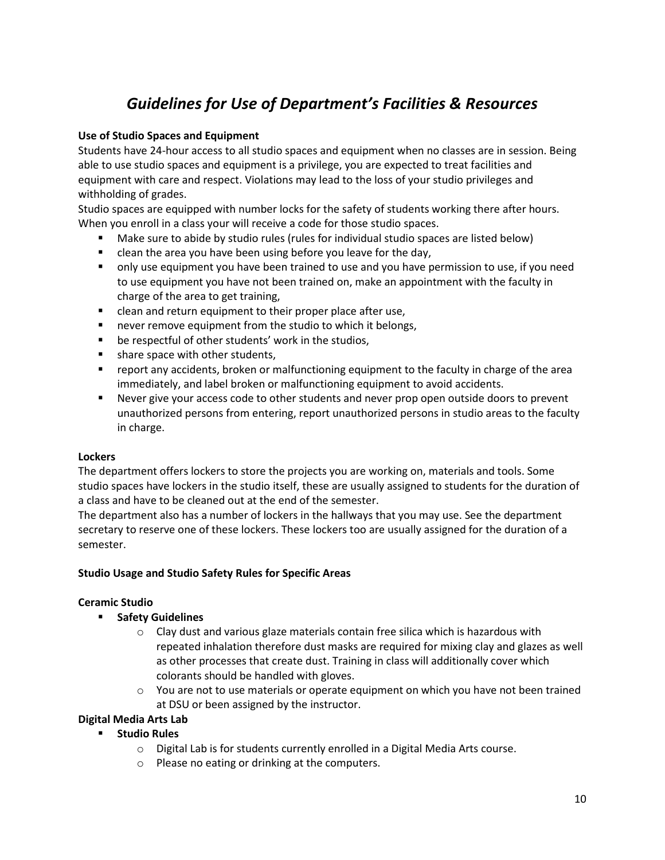# *Guidelines for Use of Department's Facilities & Resources*

## **Use of Studio Spaces and Equipment**

Students have 24-hour access to all studio spaces and equipment when no classes are in session. Being able to use studio spaces and equipment is a privilege, you are expected to treat facilities and equipment with care and respect. Violations may lead to the loss of your studio privileges and withholding of grades.

Studio spaces are equipped with number locks for the safety of students working there after hours. When you enroll in a class your will receive a code for those studio spaces.

- Make sure to abide by studio rules (rules for individual studio spaces are listed below)
- clean the area you have been using before you leave for the day,
- only use equipment you have been trained to use and you have permission to use, if you need to use equipment you have not been trained on, make an appointment with the faculty in charge of the area to get training,
- clean and return equipment to their proper place after use,
- never remove equipment from the studio to which it belongs,
- be respectful of other students' work in the studios,
- share space with other students,
- report any accidents, broken or malfunctioning equipment to the faculty in charge of the area immediately, and label broken or malfunctioning equipment to avoid accidents.
- Never give your access code to other students and never prop open outside doors to prevent unauthorized persons from entering, report unauthorized persons in studio areas to the faculty in charge.

### **Lockers**

The department offers lockers to store the projects you are working on, materials and tools. Some studio spaces have lockers in the studio itself, these are usually assigned to students for the duration of a class and have to be cleaned out at the end of the semester.

The department also has a number of lockers in the hallways that you may use. See the department secretary to reserve one of these lockers. These lockers too are usually assigned for the duration of a semester.

### **Studio Usage and Studio Safety Rules for Specific Areas**

### **Ceramic Studio**

- **Safety Guidelines**
	- $\circ$  Clay dust and various glaze materials contain free silica which is hazardous with repeated inhalation therefore dust masks are required for mixing clay and glazes as well as other processes that create dust. Training in class will additionally cover which colorants should be handled with gloves.
	- $\circ$  You are not to use materials or operate equipment on which you have not been trained at DSU or been assigned by the instructor.

### **Digital Media Arts Lab**

### ▪ **Studio Rules**

- o Digital Lab is for students currently enrolled in a Digital Media Arts course.
- o Please no eating or drinking at the computers.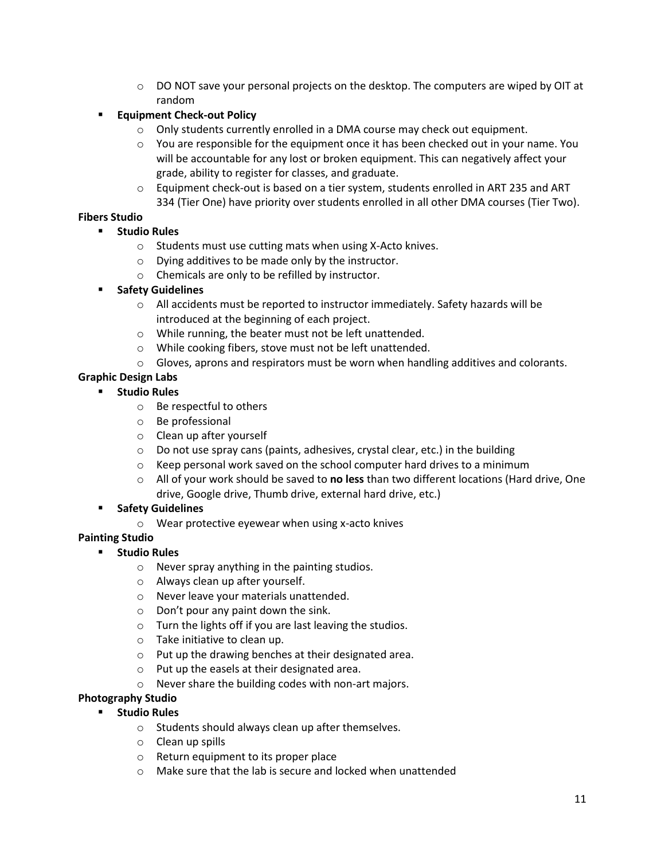- $\circ$  DO NOT save your personal projects on the desktop. The computers are wiped by OIT at random
- **Equipment Check-out Policy** 
	- $\circ$  Only students currently enrolled in a DMA course may check out equipment.
	- $\circ$  You are responsible for the equipment once it has been checked out in your name. You will be accountable for any lost or broken equipment. This can negatively affect your grade, ability to register for classes, and graduate.
	- $\circ$  Equipment check-out is based on a tier system, students enrolled in ART 235 and ART 334 (Tier One) have priority over students enrolled in all other DMA courses (Tier Two).

## **Fibers Studio**

- **Studio Rules**
	- o Students must use cutting mats when using X-Acto knives.
	- o Dying additives to be made only by the instructor.
	- o Chemicals are only to be refilled by instructor.
- **Safety Guidelines**
	- o All accidents must be reported to instructor immediately. Safety hazards will be introduced at the beginning of each project.
	- o While running, the beater must not be left unattended.
	- o While cooking fibers, stove must not be left unattended.
	- $\circ$  Gloves, aprons and respirators must be worn when handling additives and colorants.

## **Graphic Design Labs**

### ▪ **Studio Rules**

- o Be respectful to others
- o Be professional
- o Clean up after yourself
- $\circ$  Do not use spray cans (paints, adhesives, crystal clear, etc.) in the building
- o Keep personal work saved on the school computer hard drives to a minimum
- o All of your work should be saved to **no less** than two different locations (Hard drive, One drive, Google drive, Thumb drive, external hard drive, etc.)

### **Safety Guidelines**

o Wear protective eyewear when using x-acto knives

### **Painting Studio**

- **Studio Rules**
	- o Never spray anything in the painting studios.
	- o Always clean up after yourself.
	- o Never leave your materials unattended.
	- $\circ$  Don't pour any paint down the sink.
	- o Turn the lights off if you are last leaving the studios.
	- o Take initiative to clean up.
	- o Put up the drawing benches at their designated area.
	- o Put up the easels at their designated area.
	- o Never share the building codes with non-art majors.

### **Photography Studio**

- **Studio Rules**
	- o Students should always clean up after themselves.
	- o Clean up spills
	- o Return equipment to its proper place
	- o Make sure that the lab is secure and locked when unattended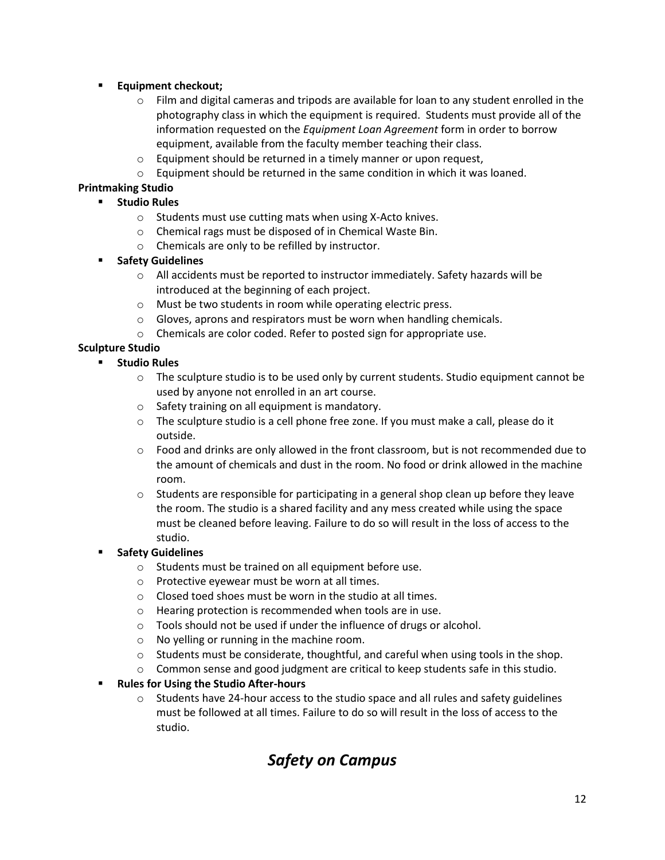## **Equipment checkout;**

- $\circ$  Film and digital cameras and tripods are available for loan to any student enrolled in the photography class in which the equipment is required. Students must provide all of the information requested on the *Equipment Loan Agreement* form in order to borrow equipment, available from the faculty member teaching their class.
- o Equipment should be returned in a timely manner or upon request,
- o Equipment should be returned in the same condition in which it was loaned.

## **Printmaking Studio**

- **Studio Rules**
	- o Students must use cutting mats when using X-Acto knives.
	- o Chemical rags must be disposed of in Chemical Waste Bin.
	- o Chemicals are only to be refilled by instructor.

## ▪ **Safety Guidelines**

- $\circ$  All accidents must be reported to instructor immediately. Safety hazards will be introduced at the beginning of each project.
- o Must be two students in room while operating electric press.
- o Gloves, aprons and respirators must be worn when handling chemicals.
- o Chemicals are color coded. Refer to posted sign for appropriate use.

## **Sculpture Studio**

- **Studio Rules**
	- $\circ$  The sculpture studio is to be used only by current students. Studio equipment cannot be used by anyone not enrolled in an art course.
	- o Safety training on all equipment is mandatory.
	- $\circ$  The sculpture studio is a cell phone free zone. If you must make a call, please do it outside.
	- $\circ$  Food and drinks are only allowed in the front classroom, but is not recommended due to the amount of chemicals and dust in the room. No food or drink allowed in the machine room.
	- $\circ$  Students are responsible for participating in a general shop clean up before they leave the room. The studio is a shared facility and any mess created while using the space must be cleaned before leaving. Failure to do so will result in the loss of access to the studio.

## **Safety Guidelines**

- o Students must be trained on all equipment before use.
- o Protective eyewear must be worn at all times.
- o Closed toed shoes must be worn in the studio at all times.
- o Hearing protection is recommended when tools are in use.
- o Tools should not be used if under the influence of drugs or alcohol.
- o No yelling or running in the machine room.
- $\circ$  Students must be considerate, thoughtful, and careful when using tools in the shop.
- $\circ$  Common sense and good judgment are critical to keep students safe in this studio.

## ▪ **Rules for Using the Studio After-hours**

 $\circ$  Students have 24-hour access to the studio space and all rules and safety guidelines must be followed at all times. Failure to do so will result in the loss of access to the studio.

# *Safety on Campus*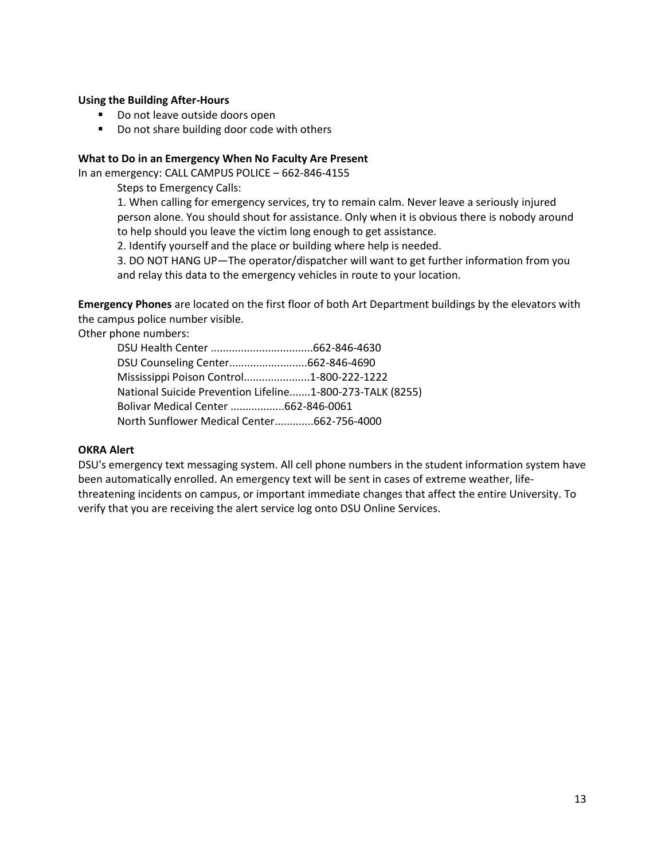#### **Using the Building After-Hours**

- Do not leave outside doors open
- Do not share building door code with others

#### **What to Do in an Emergency When No Faculty Are Present**

In an emergency: CALL CAMPUS POLICE – 662-846-4155

Steps to Emergency Calls:

1. When calling for emergency services, try to remain calm. Never leave a seriously injured person alone. You should shout for assistance. Only when it is obvious there is nobody around to help should you leave the victim long enough to get assistance.

2. Identify yourself and the place or building where help is needed.

3. DO NOT HANG UP—The operator/dispatcher will want to get further information from you and relay this data to the emergency vehicles in route to your location.

**Emergency Phones** are located on the first floor of both Art Department buildings by the elevators with the campus police number visible.

Other phone numbers:

DSU Health Center ..................................662-846-4630 DSU Counseling Center..........................662-846-4690 Mississippi Poison Control......................1-800-222-1222 National Suicide Prevention Lifeline.......1-800-273-TALK (8255) Bolivar Medical Center ..................662-846-0061 North Sunflower Medical Center.............662-756-4000

#### **OKRA Alert**

DSU's emergency text messaging system. All cell phone numbers in the student information system have been automatically enrolled. An emergency text will be sent in cases of extreme weather, lifethreatening incidents on campus, or important immediate changes that affect the entire University. To verify that you are receiving the alert service log onto DSU Online Services.